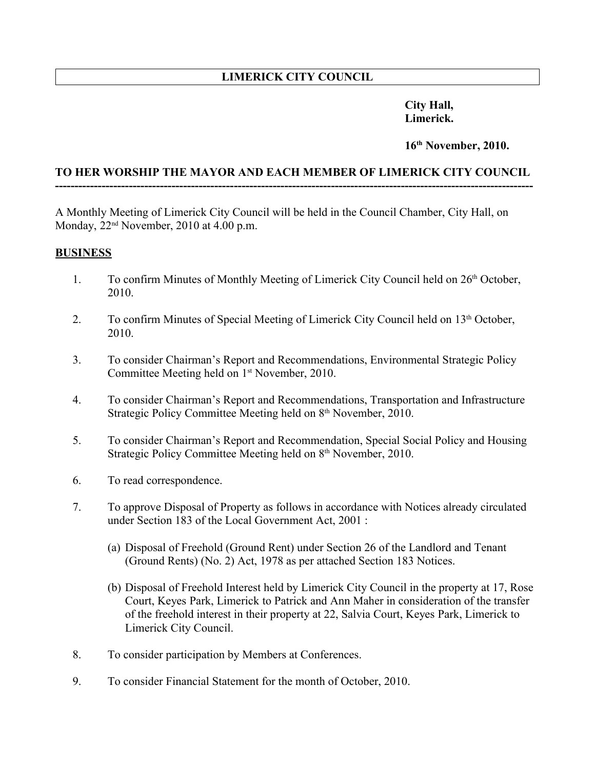# **LIMERICK CITY COUNCIL**

## **City Hall, Limerick.**

#### **16th November, 2010.**

### **TO HER WORSHIP THE MAYOR AND EACH MEMBER OF LIMERICK CITY COUNCIL ---------------------------------------------------------------------------------------------------------------------------**

A Monthly Meeting of Limerick City Council will be held in the Council Chamber, City Hall, on Monday,  $22<sup>nd</sup>$  November,  $2010$  at 4.00 p.m.

### **BUSINESS**

- 1. To confirm Minutes of Monthly Meeting of Limerick City Council held on 26<sup>th</sup> October, 2010.
- 2. To confirm Minutes of Special Meeting of Limerick City Council held on 13<sup>th</sup> October, 2010.
- 3. To consider Chairman's Report and Recommendations, Environmental Strategic Policy Committee Meeting held on 1<sup>st</sup> November, 2010.
- 4. To consider Chairman's Report and Recommendations, Transportation and Infrastructure Strategic Policy Committee Meeting held on 8th November, 2010.
- 5. To consider Chairman's Report and Recommendation, Special Social Policy and Housing Strategic Policy Committee Meeting held on 8<sup>th</sup> November, 2010.
- 6. To read correspondence.
- 7. To approve Disposal of Property as follows in accordance with Notices already circulated under Section 183 of the Local Government Act, 2001 :
	- (a) Disposal of Freehold (Ground Rent) under Section 26 of the Landlord and Tenant (Ground Rents) (No. 2) Act, 1978 as per attached Section 183 Notices.
	- (b) Disposal of Freehold Interest held by Limerick City Council in the property at 17, Rose Court, Keyes Park, Limerick to Patrick and Ann Maher in consideration of the transfer of the freehold interest in their property at 22, Salvia Court, Keyes Park, Limerick to Limerick City Council.
- 8. To consider participation by Members at Conferences.
- 9. To consider Financial Statement for the month of October, 2010.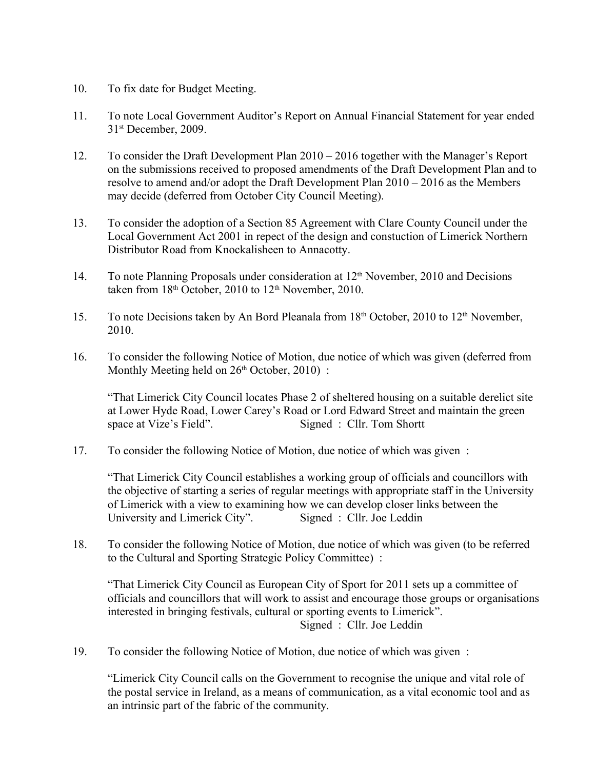- 10. To fix date for Budget Meeting.
- 11. To note Local Government Auditor's Report on Annual Financial Statement for year ended 31st December, 2009.
- 12. To consider the Draft Development Plan 2010 2016 together with the Manager's Report on the submissions received to proposed amendments of the Draft Development Plan and to resolve to amend and/or adopt the Draft Development Plan 2010 – 2016 as the Members may decide (deferred from October City Council Meeting).
- 13. To consider the adoption of a Section 85 Agreement with Clare County Council under the Local Government Act 2001 in repect of the design and constuction of Limerick Northern Distributor Road from Knockalisheen to Annacotty.
- 14. To note Planning Proposals under consideration at 12<sup>th</sup> November, 2010 and Decisions taken from  $18<sup>th</sup>$  October, 2010 to  $12<sup>th</sup>$  November, 2010.
- 15. To note Decisions taken by An Bord Pleanala from 18<sup>th</sup> October, 2010 to 12<sup>th</sup> November, 2010.
- 16. To consider the following Notice of Motion, due notice of which was given (deferred from Monthly Meeting held on  $26<sup>th</sup>$  October, 2010) :

"That Limerick City Council locates Phase 2 of sheltered housing on a suitable derelict site at Lower Hyde Road, Lower Carey's Road or Lord Edward Street and maintain the green space at Vize's Field". Signed : Cllr. Tom Shortt

17. To consider the following Notice of Motion, due notice of which was given :

"That Limerick City Council establishes a working group of officials and councillors with the objective of starting a series of regular meetings with appropriate staff in the University of Limerick with a view to examining how we can develop closer links between the University and Limerick City". Signed : Cllr. Joe Leddin

18. To consider the following Notice of Motion, due notice of which was given (to be referred to the Cultural and Sporting Strategic Policy Committee) :

"That Limerick City Council as European City of Sport for 2011 sets up a committee of officials and councillors that will work to assist and encourage those groups or organisations interested in bringing festivals, cultural or sporting events to Limerick". Signed : Cllr. Joe Leddin

19. To consider the following Notice of Motion, due notice of which was given :

"Limerick City Council calls on the Government to recognise the unique and vital role of the postal service in Ireland, as a means of communication, as a vital economic tool and as an intrinsic part of the fabric of the community.